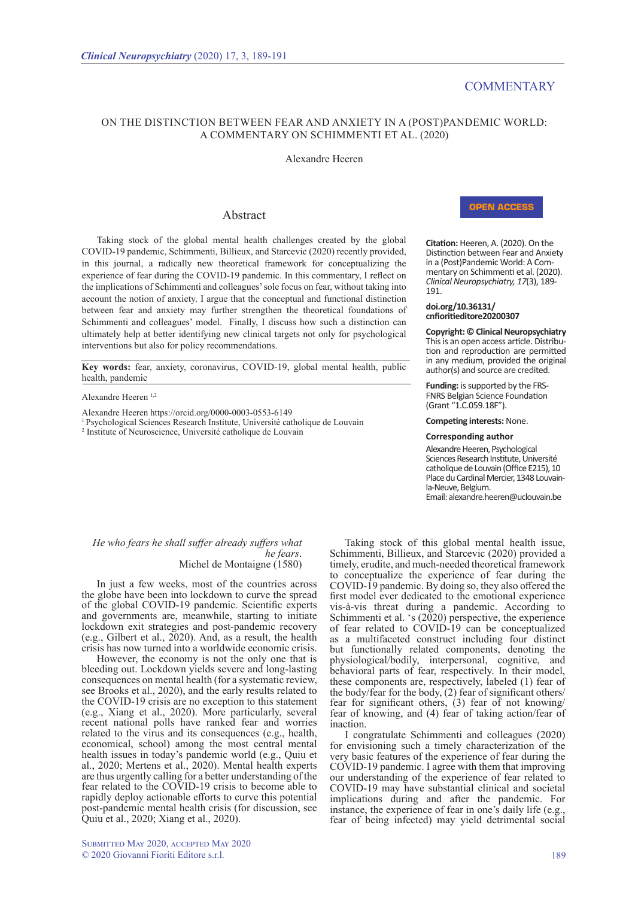# **COMMENTARY**

## On the Distinction between Fear and Anxiety in a (Post)Pandemic World: A Commentary on Schimmenti et al. (2020)

#### Alexandre Heeren

### Abstract

Taking stock of the global mental health challenges created by the global COVID-19 pandemic, Schimmenti, Billieux, and Starcevic (2020) recently provided, in this journal, a radically new theoretical framework for conceptualizing the experience of fear during the COVID-19 pandemic. In this commentary, I reflect on the implications of Schimmenti and colleagues' sole focus on fear, without taking into account the notion of anxiety. I argue that the conceptual and functional distinction between fear and anxiety may further strengthen the theoretical foundations of Schimmenti and colleagues' model. Finally, I discuss how such a distinction can ultimately help at better identifying new clinical targets not only for psychological interventions but also for policy recommendations.

Key words: fear, anxiety, coronavirus, COVID-19, global mental health, public health, pandemic

#### Alexandre Heeren 1,2

Alexandre Heeren https://orcid.org/0000-0003-0553-6149

1 Psychological Sciences Research Institute, Université catholique de Louvain

<sup>2</sup> Institute of Neuroscience, Université catholique de Louvain

## Open Access

**Citation:** Heeren, A. (2020). On the Distinction between Fear and Anxiety in a (Post)Pandemic World: A Commentary on Schimmenti et al. (2020). *Clinical Neuropsychiatry, 17*(3), 189- 191.

#### **doi.org/10.36131/ cnfioritieditore20200307**

**Copyright: © Clinical Neuropsychiatry** This is an open access article. Distribu- tion and reproduction are permitted in any medium, provided the original author(s) and source are credited.

Funding: is supported by the FRS-FNRS Belgian Science Foundation (Grant "1.C.059.18F").

**Competing interests:** None.

#### **Corresponding author**

Alexandre Heeren, Psychological Sciences Research Institute, Université catholique de Louvain (Office E215), 10 Place du Cardinal Mercier, 1348 Louvainla-Neuve, Belgium. Email: alexandre.heeren@uclouvain.be

# *He who fears he shall suffer already suffers what Michel de Montaigne* (1580)

In just a few weeks, most of the countries across the globe have been into lockdown to curve the spread of the global COVID-19 pandemic. Scientific experts and governments are, meanwhile, starting to initiate lockdown exit strategies and post-pandemic recovery (e.g., Gilbert et al.,  $2020$ ). And, as a result, the health crisis has now turned into a worldwide economic crisis.

However, the economy is not the only one that is bleeding out. Lockdown yields severe and long-lasting consequences on mental health (for a systematic review, see Brooks et al., 2020), and the early results related to the COVID-19 crisis are no exception to this statement (e.g., Xiang et al., 2020). More particularly, several recent national polls have ranked fear and worries related to the virus and its consequences (e.g., health, economical, school) among the most central mental health issues in today's pandemic world (e.g., Quiu et al., 2020; Mertens et al., 2020). Mental health experts are thus urgently calling for a better understanding of the fear related to the COVID-19 crisis to become able to rapidly deploy actionable efforts to curve this potential post-pandemic mental health crisis (for discussion, see Quiu et al., 2020; Xiang et al., 2020).

Submitted May 2020, accepted May 2020 © 2020 Giovanni Fioriti Editore s.r.l. 189

Taking stock of this global mental health issue, Schimmenti, Billieux, and Starcevic (2020) provided a timely, erudite, and much-needed theoretical framework to conceptualize the experience of fear during the COVID-19 pandemic. By doing so, they also offered the first model ever dedicated to the emotional experience vis-à-vis threat during a pandemic. According to Schimmenti et al. 's (2020) perspective, the experience of fear related to COVID-19 can be conceptualized as a multifaceted construct including four distinct but functionally related components, denoting the physiological/bodily, interpersonal, cognitive, and behavioral parts of fear, respectively. In their model, these components are, respectively, labeled (1) fear of the body/fear for the body, (2) fear of significant others/ fear for significant others, (3) fear of not knowing/ fear of knowing, and (4) fear of taking action/fear of inaction.

I congratulate Schimmenti and colleagues (2020) for envisioning such a timely characterization of the very basic features of the experience of fear during the COVID-19 pandemic. I agree with them that improving our understanding of the experience of fear related to COVID-19 may have substantial clinical and societal implications during and after the pandemic. For instance, the experience of fear in one's daily life (e.g., fear of being infected) may yield detrimental social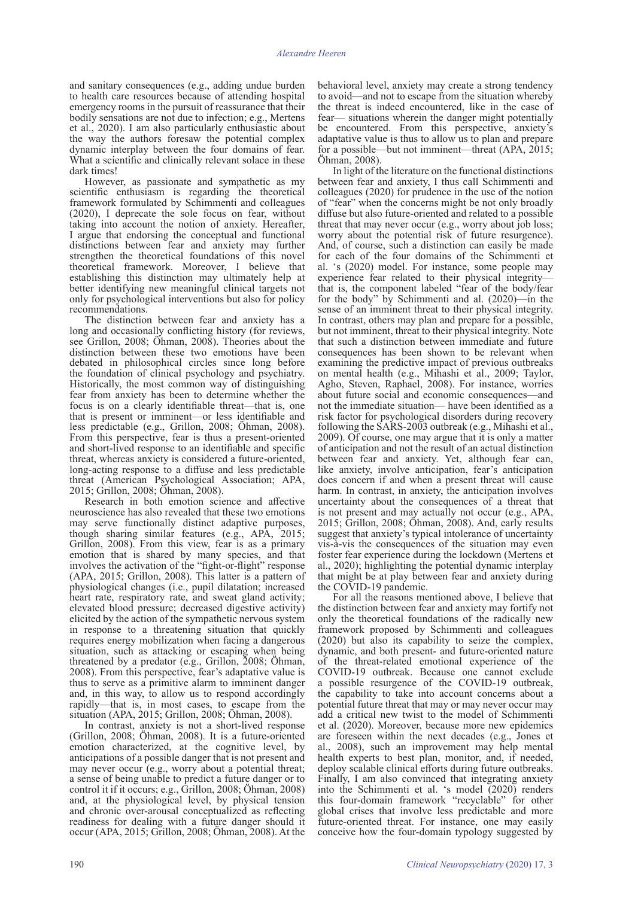and sanitary consequences (e.g., adding undue burden to health care resources because of attending hospital emergency rooms in the pursuit of reassurance that their bodily sensations are not due to infection; e.g., Mertens et al., 2020). I am also particularly enthusiastic about the way the authors foresaw the potential complex dynamic interplay between the four domains of fear. What a scientific and clinically relevant solace in these dark times!

However, as passionate and sympathetic as my scientific enthusiasm is regarding the theoretical framework formulated by Schimmenti and colleagues (2020), I deprecate the sole focus on fear, without taking into account the notion of anxiety. Hereafter, I argue that endorsing the conceptual and functional distinctions between fear and anxiety may further strengthen the theoretical foundations of this novel theoretical framework. Moreover, I believe that establishing this distinction may ultimately help at better identifying new meaningful clinical targets not only for psychological interventions but also for policy recommendations.

The distinction between fear and anxiety has a long and occasionally conflicting history (for reviews, see Grillon, 2008; Öhman, 2008). Theories about the distinction between these two emotions have been debated in philosophical circles since long before the foundation of clinical psychology and psychiatry. Historically, the most common way of distinguishing fear from anxiety has been to determine whether the focus is on a clearly identifiable threat—that is, one that is present or imminent—or less identifiable and less predictable (e.g., Grillon, 2008; Öhman, 2008). From this perspective, fear is thus a present-oriented and short-lived response to an identifiable and specific threat, whereas anxiety is considered a future-oriented, long-acting response to a diffuse and less predictable threat (American Psychological Association; APA, 2015; Grillon, 2008; Öhman, 2008).

Research in both emotion science and affective neuroscience has also revealed that these two emotions may serve functionally distinct adaptive purposes, though sharing similar features (e.g., APA, 2015; Grillon, 2008). From this view, fear is as a primary emotion that is shared by many species, and that involves the activation of the "fight-or-flight" response (APA, 2015; Grillon, 2008). This latter is a pattern of physiological changes (i.e., pupil dilatation; increased heart rate, respiratory rate, and sweat gland activity; elevated blood pressure; decreased digestive activity) elicited by the action of the sympathetic nervous system in response to a threatening situation that quickly requires energy mobilization when facing a dangerous situation, such as attacking or escaping when being threatened by a predator (e.g., Grillon, 2008; Öhman, 2008). From this perspective, fear's adaptative value is thus to serve as a primitive alarm to imminent danger and, in this way, to allow us to respond accordingly rapidly—that is, in most cases, to escape from the situation (APA, 2015; Grillon, 2008; Öhman, 2008).

In contrast, anxiety is not a short-lived response (Grillon, 2008; Öhman, 2008). It is a future-oriented emotion characterized, at the cognitive level, by anticipations of a possible danger that is not present and may never occur (e.g., worry about a potential threat; a sense of being unable to predict a future danger or to control it if it occurs; e.g., Grillon, 2008; Öhman, 2008) and, at the physiological level, by physical tension and chronic over-arousal conceptualized as reflecting readiness for dealing with a future danger should it occur (APA, 2015; Grillon, 2008; Öhman, 2008). At the

behavioral level, anxiety may create a strong tendency to avoid—and not to escape from the situation whereby the threat is indeed encountered, like in the case of fear— situations wherein the danger might potentially be encountered. From this perspective, anxiety's adaptative value is thus to allow us to plan and prepare for a possible—but not imminent—threat (APA, 2015; Öhman, 2008).

In light of the literature on the functional distinctions between fear and anxiety, I thus call Schimmenti and colleagues (2020) for prudence in the use of the notion of "fear" when the concerns might be not only broadly diffuse but also future-oriented and related to a possible threat that may never occur (e.g., worry about job loss; worry about the potential risk of future resurgence). And, of course, such a distinction can easily be made for each of the four domains of the Schimmenti et al. 's (2020) model. For instance, some people may experience fear related to their physical integrity that is, the component labeled "fear of the body/fear for the body" by Schimmenti and al. (2020)—in the sense of an imminent threat to their physical integrity. In contrast, others may plan and prepare for a possible, but not imminent, threat to their physical integrity. Note that such a distinction between immediate and future consequences has been shown to be relevant when examining the predictive impact of previous outbreaks on mental health (e.g., Mihashi et al., 2009; Taylor, Agho, Steven, Raphael, 2008). For instance, worries about future social and economic consequences—and not the immediate situation— have been identified as a risk factor for psychological disorders during recovery following the SARS-2003 outbreak (e.g., Mihashi et al., 2009). Of course, one may argue that it is only a matter of anticipation and not the result of an actual distinction between fear and anxiety. Yet, although fear can, like anxiety, involve anticipation, fear's anticipation does concern if and when a present threat will cause harm. In contrast, in anxiety, the anticipation involves uncertainty about the consequences of a threat that is not present and may actually not occur (e.g., APA, 2015; Grillon, 2008; Öhman, 2008). And, early results suggest that anxiety's typical intolerance of uncertainty vis-à-vis the consequences of the situation may even foster fear experience during the lockdown (Mertens et al., 2020); highlighting the potential dynamic interplay that might be at play between fear and anxiety during the COVID-19 pandemic.

For all the reasons mentioned above, I believe that the distinction between fear and anxiety may fortify not only the theoretical foundations of the radically new framework proposed by Schimmenti and colleagues (2020) but also its capability to seize the complex, dynamic, and both present- and future-oriented nature of the threat-related emotional experience of the COVID-19 outbreak. Because one cannot exclude a possible resurgence of the COVID-19 outbreak, the capability to take into account concerns about a potential future threat that may or may never occur may add a critical new twist to the model of Schimmenti et al. (2020). Moreover, because more new epidemics are foreseen within the next decades (e.g., Jones et al., 2008), such an improvement may help mental health experts to best plan, monitor, and, if needed, deploy scalable clinical efforts during future outbreaks. Finally, I am also convinced that integrating anxiety into the Schimmenti et al. 's model (2020) renders this four-domain framework "recyclable" for other global crises that involve less predictable and more future-oriented threat. For instance, one may easily conceive how the four-domain typology suggested by